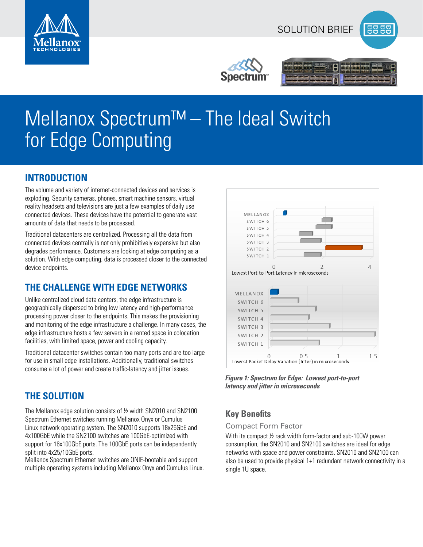







# Mellanox Spectrum™ – The Ideal Switch for Edge Computing

## **INTRODUCTION**

The volume and variety of internet-connected devices and services is exploding. Security cameras, phones, smart machine sensors, virtual reality headsets and televisions are just a few examples of daily use connected devices. These devices have the potential to generate vast amounts of data that needs to be processed.

Traditional datacenters are centralized. Processing all the data from connected devices centrally is not only prohibitively expensive but also degrades performance. Customers are looking at edge computing as a solution. With edge computing, data is processed closer to the connected device endpoints.

# **THE CHALLENGE WITH EDGE NETWORKS**

Unlike centralized cloud data centers, the edge infrastructure is geographically dispersed to bring low latency and high-performance processing power closer to the endpoints. This makes the provisioning and monitoring of the edge infrastructure a challenge. In many cases, the edge infrastructure hosts a few servers in a rented space in colocation facilities, with limited space, power and cooling capacity.

Traditional datacenter switches contain too many ports and are too large for use in small edge installations. Additionally, traditional switches consume a lot of power and create traffic-latency and jitter issues.

# **THE SOLUTION**

The Mellanox edge solution consists of ½ width SN2010 and SN2100 Spectrum Ethernet switches running Mellanox Onyx or Cumulus Linux network operating system. The SN2010 supports 18x25GbE and 4x100GbE while the SN2100 switches are 100GbE-optimized with support for 16x100GbE ports. The 100GbE ports can be independently split into 4x25/10GbE ports.

Mellanox Spectrum Ethernet switches are ONIE-bootable and support multiple operating systems including Mellanox Onyx and Cumulus Linux.



*Figure 1: Spectrum for Edge: Lowest port-to-port latency and jitter in microseconds*

## **Key Benefits**

#### Compact Form Factor

With its compact ½ rack width form-factor and sub-100W power consumption, the SN2010 and SN2100 switches are ideal for edge networks with space and power constraints. SN2010 and SN2100 can also be used to provide physical 1+1 redundant network connectivity in a single 1U space.